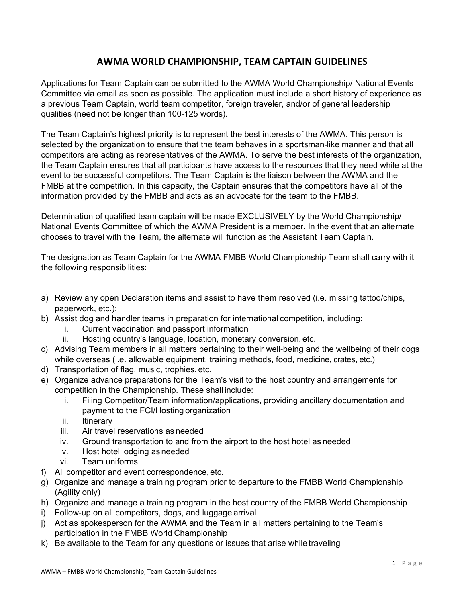## **AWMA WORLD CHAMPIONSHIP, TEAM CAPTAIN GUIDELINES**

Applications for Team Captain can be submitted to the AWMA World Championship/ National Events Committee via email as soon as possible. The application must include a short history of experience as a previous Team Captain, world team competitor, foreign traveler, and/or of general leadership qualities (need not be longer than 100‐125 words).

The Team Captain's highest priority is to represent the best interests of the AWMA. This person is selected by the organization to ensure that the team behaves in a sportsman-like manner and that all competitors are acting as representatives of the AWMA. To serve the best interests of the organization, the Team Captain ensures that all participants have access to the resources that they need while at the event to be successful competitors. The Team Captain is the liaison between the AWMA and the FMBB at the competition. In this capacity, the Captain ensures that the competitors have all of the information provided by the FMBB and acts as an advocate for the team to the FMBB.

Determination of qualified team captain will be made EXCLUSIVELY by the World Championship/ National Events Committee of which the AWMA President is a member. In the event that an alternate chooses to travel with the Team, the alternate will function as the Assistant Team Captain.

The designation as Team Captain for the AWMA FMBB World Championship Team shall carry with it the following responsibilities:

- a) Review any open Declaration items and assist to have them resolved (i.e. missing tattoo/chips, paperwork, etc.);
- b) Assist dog and handler teams in preparation for international competition, including:
	- i. Current vaccination and passport information
	- ii. Hosting country's language, location, monetary conversion, etc.
- c) Advising Team members in all matters pertaining to their well-being and the wellbeing of their dogs while overseas (i.e. allowable equipment, training methods, food, medicine, crates, etc.)
- d) Transportation of flag, music, trophies, etc.
- e) Organize advance preparations for the Team's visit to the host country and arrangements for competition in the Championship. These shall include:
	- i. Filing Competitor/Team information/applications, providing ancillary documentation and payment to the FCI/Hosting organization
	- ii. Itinerary
	- iii. Air travel reservations as needed
	- iv. Ground transportation to and from the airport to the host hotel as needed
	- v. Host hotel lodging as needed
	- vi. Team uniforms
- f) All competitor and event correspondence, etc.
- g) Organize and manage a training program prior to departure to the FMBB World Championship (Agility only)
- h) Organize and manage a training program in the host country of the FMBB World Championship
- i) Follow‐up on all competitors, dogs, and luggage arrival
- j) Act as spokesperson for the AWMA and the Team in all matters pertaining to the Team's participation in the FMBB World Championship
- k) Be available to the Team for any questions or issues that arise while traveling